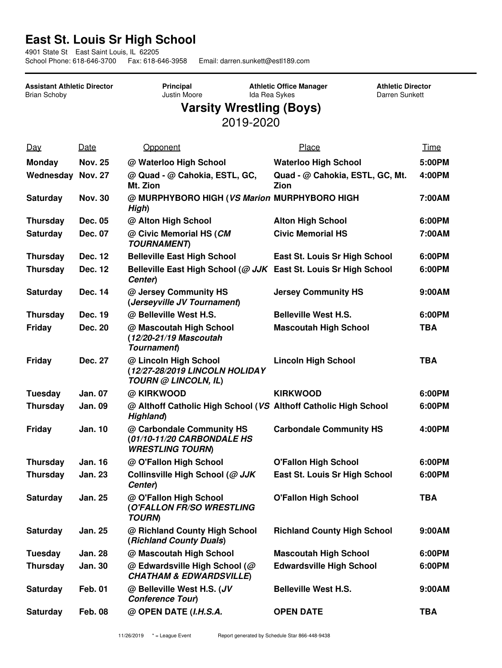## **East St. Louis Sr High School**

4901 State St East Saint Louis, IL 62205 Email: darren.sunkett@estl189.com

**Assistant Athletic Director** Brian Schoby

**Principal** Justin Moore

**Athletic Office Manager** Ida Rea Sykes

**Athletic Director** Darren Sunkett

## **Varsity Wrestling (Boys)** 2019-2020

| Day                      | Date           | Opponent                                                                           | Place                                   | <b>Time</b> |
|--------------------------|----------------|------------------------------------------------------------------------------------|-----------------------------------------|-------------|
| <b>Monday</b>            | <b>Nov. 25</b> | @ Waterloo High School                                                             | <b>Waterloo High School</b>             | 5:00PM      |
| <b>Wednesday Nov. 27</b> |                | @ Quad - @ Cahokia, ESTL, GC,<br>Mt. Zion                                          | Quad - @ Cahokia, ESTL, GC, Mt.<br>Zion | 4:00PM      |
| <b>Saturday</b>          | <b>Nov. 30</b> | @ MURPHYBORO HIGH (VS Marion MURPHYBORO HIGH<br>High)                              |                                         | 7:00AM      |
| <b>Thursday</b>          | Dec. 05        | @ Alton High School                                                                | <b>Alton High School</b>                | 6:00PM      |
| Saturday                 | <b>Dec. 07</b> | @ Civic Memorial HS (CM<br><b>TOURNAMENT</b> )                                     | <b>Civic Memorial HS</b>                | 7:00AM      |
| <b>Thursday</b>          | Dec. 12        | <b>Belleville East High School</b>                                                 | East St. Louis Sr High School           | 6:00PM      |
| <b>Thursday</b>          | <b>Dec. 12</b> | Belleville East High School (@ JJK East St. Louis Sr High School<br>Center)        |                                         | 6:00PM      |
| <b>Saturday</b>          | Dec. 14        | @ Jersey Community HS<br>(Jerseyville JV Tournament)                               | <b>Jersey Community HS</b>              | 9:00AM      |
| <b>Thursday</b>          | Dec. 19        | @ Belleville West H.S.                                                             | <b>Belleville West H.S.</b>             | 6:00PM      |
| Friday                   | Dec. 20        | @ Mascoutah High School<br>(12/20-21/19 Mascoutah<br>Tournament)                   | <b>Mascoutah High School</b>            | <b>TBA</b>  |
| Friday                   | <b>Dec. 27</b> | @ Lincoln High School<br>(12/27-28/2019 LINCOLN HOLIDAY<br>TOURN @ LINCOLN, IL)    | <b>Lincoln High School</b>              | <b>TBA</b>  |
| <b>Tuesday</b>           | <b>Jan. 07</b> | @ KIRKWOOD                                                                         | <b>KIRKWOOD</b>                         | 6:00PM      |
| <b>Thursday</b>          | <b>Jan. 09</b> | @ Althoff Catholic High School (VS Althoff Catholic High School<br>Highland)       |                                         | 6:00PM      |
| Friday                   | <b>Jan. 10</b> | @ Carbondale Community HS<br>(01/10-11/20 CARBONDALE HS<br><b>WRESTLING TOURN)</b> | <b>Carbondale Community HS</b>          | 4:00PM      |
| <b>Thursday</b>          | <b>Jan. 16</b> | @ O'Fallon High School                                                             | <b>O'Fallon High School</b>             | 6:00PM      |
| <b>Thursday</b>          | <b>Jan. 23</b> | Collinsville High School (@ JJK<br>Center)                                         | East St. Louis Sr High School           | 6:00PM      |
| <b>Saturday</b>          | <b>Jan. 25</b> | @ O'Fallon High School<br>(O'FALLON FR/SO WRESTLING<br><b>TOURN)</b>               | <b>O'Fallon High School</b>             | <b>TBA</b>  |
| <b>Saturday</b>          | <b>Jan. 25</b> | @ Richland County High School<br>(Richland County Duals)                           | <b>Richland County High School</b>      | 9:00AM      |
| <b>Tuesday</b>           | <b>Jan. 28</b> | @ Mascoutah High School                                                            | <b>Mascoutah High School</b>            | 6:00PM      |
| <b>Thursday</b>          | Jan. 30        | @ Edwardsville High School (@<br><b>CHATHAM &amp; EDWARDSVILLE</b>                 | <b>Edwardsville High School</b>         | 6:00PM      |
| <b>Saturday</b>          | <b>Feb. 01</b> | @ Belleville West H.S. (JV<br>Conference Tour)                                     | <b>Belleville West H.S.</b>             | 9:00AM      |
| <b>Saturday</b>          | <b>Feb. 08</b> | @ OPEN DATE (I.H.S.A.                                                              | <b>OPEN DATE</b>                        | <b>TBA</b>  |